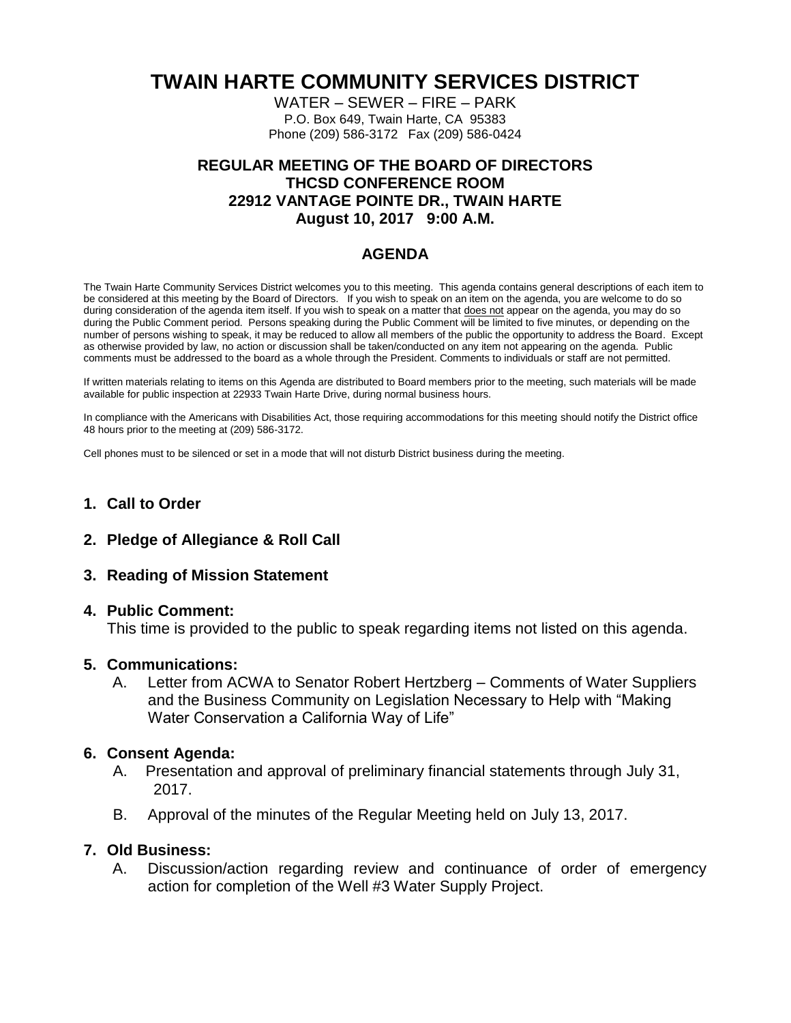# **TWAIN HARTE COMMUNITY SERVICES DISTRICT**

WATER – SEWER – FIRE – PARK P.O. Box 649, Twain Harte, CA 95383 Phone (209) 586-3172 Fax (209) 586-0424

## **REGULAR MEETING OF THE BOARD OF DIRECTORS THCSD CONFERENCE ROOM 22912 VANTAGE POINTE DR., TWAIN HARTE August 10, 2017 9:00 A.M.**

## **AGENDA**

The Twain Harte Community Services District welcomes you to this meeting. This agenda contains general descriptions of each item to be considered at this meeting by the Board of Directors. If you wish to speak on an item on the agenda, you are welcome to do so during consideration of the agenda item itself. If you wish to speak on a matter that does not appear on the agenda, you may do so during the Public Comment period. Persons speaking during the Public Comment will be limited to five minutes, or depending on the number of persons wishing to speak, it may be reduced to allow all members of the public the opportunity to address the Board. Except as otherwise provided by law, no action or discussion shall be taken/conducted on any item not appearing on the agenda. Public comments must be addressed to the board as a whole through the President. Comments to individuals or staff are not permitted.

If written materials relating to items on this Agenda are distributed to Board members prior to the meeting, such materials will be made available for public inspection at 22933 Twain Harte Drive, during normal business hours.

In compliance with the Americans with Disabilities Act, those requiring accommodations for this meeting should notify the District office 48 hours prior to the meeting at (209) 586-3172.

Cell phones must to be silenced or set in a mode that will not disturb District business during the meeting.

## **1. Call to Order**

**2. Pledge of Allegiance & Roll Call**

### **3. Reading of Mission Statement**

#### **4. Public Comment:**

This time is provided to the public to speak regarding items not listed on this agenda.

#### **5. Communications:**

A. Letter from ACWA to Senator Robert Hertzberg – Comments of Water Suppliers and the Business Community on Legislation Necessary to Help with "Making Water Conservation a California Way of Life"

### **6. Consent Agenda:**

- A. Presentation and approval of preliminary financial statements through July 31, 2017.
- B. Approval of the minutes of the Regular Meeting held on July 13, 2017.

### **7. Old Business:**

A. Discussion/action regarding review and continuance of order of emergency action for completion of the Well #3 Water Supply Project.